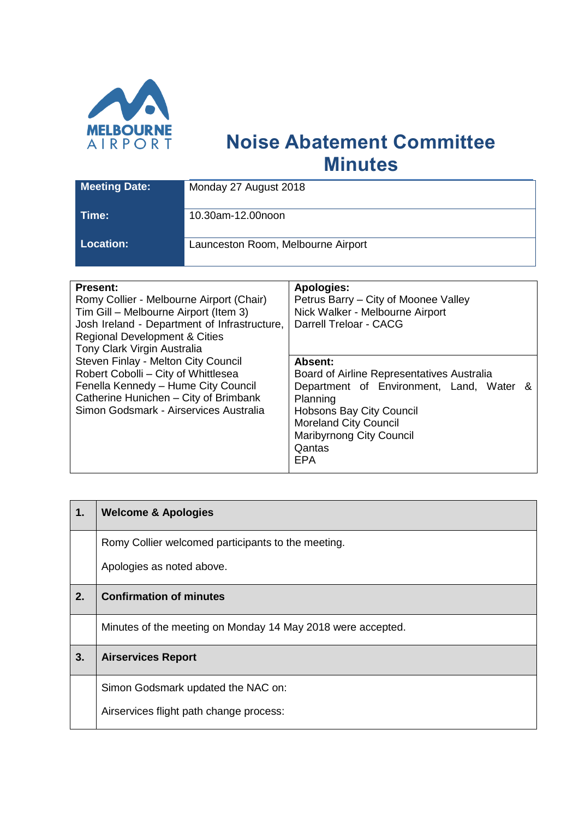

## **Noise Abatement Committee Minutes**

| <b>Meeting Date:</b> | Monday 27 August 2018              |
|----------------------|------------------------------------|
| Time:                | 10.30am-12.00noon                  |
| <b>Location:</b>     | Launceston Room, Melbourne Airport |

| <b>Present:</b>                              | <b>Apologies:</b>                          |
|----------------------------------------------|--------------------------------------------|
| Romy Collier - Melbourne Airport (Chair)     | Petrus Barry - City of Moonee Valley       |
| Tim Gill – Melbourne Airport (Item 3)        | Nick Walker - Melbourne Airport            |
| Josh Ireland - Department of Infrastructure, | Darrell Treloar - CACG                     |
| <b>Regional Development &amp; Cities</b>     |                                            |
| Tony Clark Virgin Australia                  |                                            |
| Steven Finlay - Melton City Council          | Absent:                                    |
| Robert Cobolli - City of Whittlesea          | Board of Airline Representatives Australia |
| Fenella Kennedy - Hume City Council          | Department of Environment, Land, Water &   |
| Catherine Hunichen - City of Brimbank        | Planning                                   |
| Simon Godsmark - Airservices Australia       | <b>Hobsons Bay City Council</b>            |
|                                              | <b>Moreland City Council</b>               |
|                                              | <b>Maribyrnong City Council</b>            |
|                                              | Qantas                                     |
|                                              | <b>EPA</b>                                 |
|                                              |                                            |

| 1. | <b>Welcome &amp; Apologies</b>                              |
|----|-------------------------------------------------------------|
|    | Romy Collier welcomed participants to the meeting.          |
|    | Apologies as noted above.                                   |
| 2. | <b>Confirmation of minutes</b>                              |
|    | Minutes of the meeting on Monday 14 May 2018 were accepted. |
| 3. | <b>Airservices Report</b>                                   |
|    | Simon Godsmark updated the NAC on:                          |
|    | Airservices flight path change process:                     |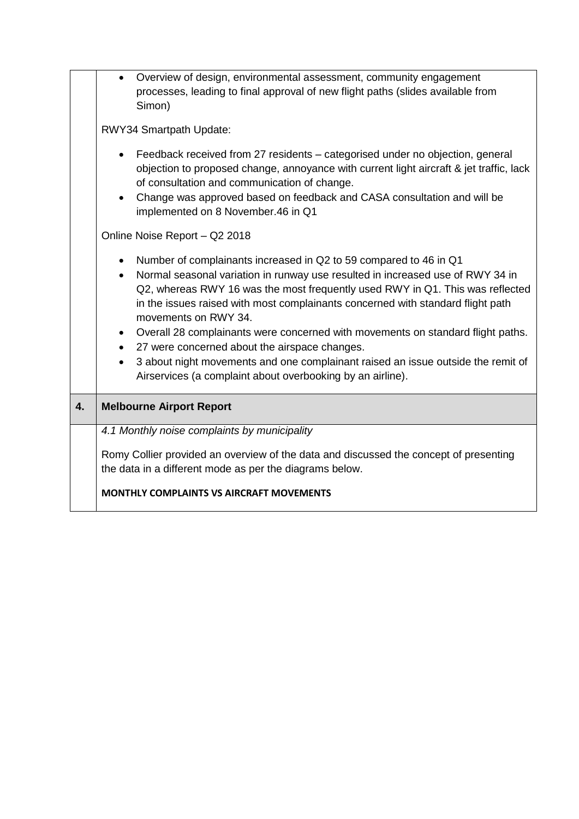|    | Overview of design, environmental assessment, community engagement<br>processes, leading to final approval of new flight paths (slides available from<br>Simon)                                                                                                                                                                                                                                                                                                                                                                                                                                                                                                                                        |  |
|----|--------------------------------------------------------------------------------------------------------------------------------------------------------------------------------------------------------------------------------------------------------------------------------------------------------------------------------------------------------------------------------------------------------------------------------------------------------------------------------------------------------------------------------------------------------------------------------------------------------------------------------------------------------------------------------------------------------|--|
|    | RWY34 Smartpath Update:                                                                                                                                                                                                                                                                                                                                                                                                                                                                                                                                                                                                                                                                                |  |
|    | Feedback received from 27 residents - categorised under no objection, general<br>objection to proposed change, annoyance with current light aircraft & jet traffic, lack<br>of consultation and communication of change.<br>Change was approved based on feedback and CASA consultation and will be<br>implemented on 8 November.46 in Q1                                                                                                                                                                                                                                                                                                                                                              |  |
|    | Online Noise Report - Q2 2018                                                                                                                                                                                                                                                                                                                                                                                                                                                                                                                                                                                                                                                                          |  |
|    | Number of complainants increased in Q2 to 59 compared to 46 in Q1<br>$\bullet$<br>Normal seasonal variation in runway use resulted in increased use of RWY 34 in<br>$\bullet$<br>Q2, whereas RWY 16 was the most frequently used RWY in Q1. This was reflected<br>in the issues raised with most complainants concerned with standard flight path<br>movements on RWY 34.<br>Overall 28 complainants were concerned with movements on standard flight paths.<br>$\bullet$<br>27 were concerned about the airspace changes.<br>$\bullet$<br>3 about night movements and one complainant raised an issue outside the remit of<br>$\bullet$<br>Airservices (a complaint about overbooking by an airline). |  |
| 4. | <b>Melbourne Airport Report</b>                                                                                                                                                                                                                                                                                                                                                                                                                                                                                                                                                                                                                                                                        |  |
|    | 4.1 Monthly noise complaints by municipality                                                                                                                                                                                                                                                                                                                                                                                                                                                                                                                                                                                                                                                           |  |
|    | Romy Collier provided an overview of the data and discussed the concept of presenting<br>the data in a different mode as per the diagrams below.                                                                                                                                                                                                                                                                                                                                                                                                                                                                                                                                                       |  |
|    | <b>MONTHLY COMPLAINTS VS AIRCRAFT MOVEMENTS</b>                                                                                                                                                                                                                                                                                                                                                                                                                                                                                                                                                                                                                                                        |  |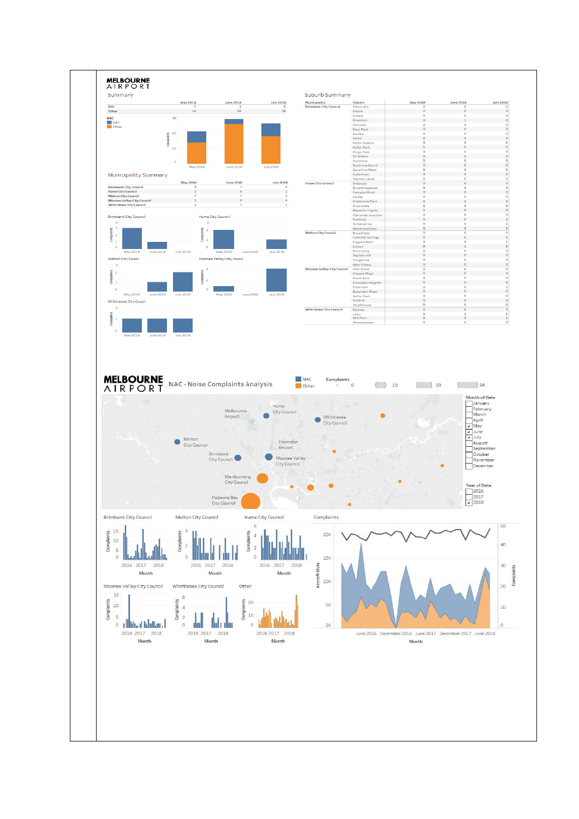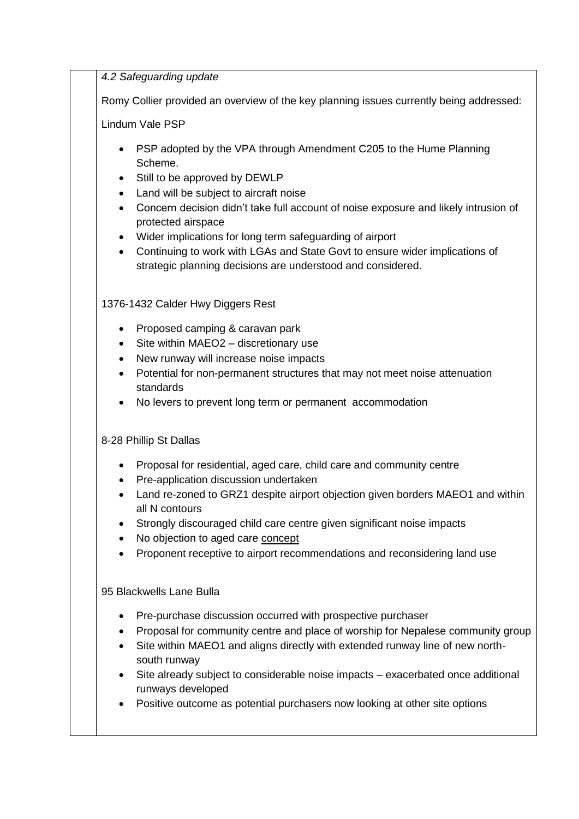*4.2 Safeguarding update*

Romy Collier provided an overview of the key planning issues currently being addressed:

Lindum Vale PSP

- PSP adopted by the VPA through Amendment C205 to the Hume Planning Scheme.
- Still to be approved by DEWLP
- Land will be subject to aircraft noise
- Concern decision didn't take full account of noise exposure and likely intrusion of protected airspace
- Wider implications for long term safeguarding of airport
- Continuing to work with LGAs and State Govt to ensure wider implications of strategic planning decisions are understood and considered.

1376-1432 Calder Hwy Diggers Rest

- Proposed camping & caravan park
- Site within MAEO2 discretionary use
- New runway will increase noise impacts
- Potential for non-permanent structures that may not meet noise attenuation standards
- No levers to prevent long term or permanent accommodation

## 8-28 Phillip St Dallas

- Proposal for residential, aged care, child care and community centre
- Pre-application discussion undertaken
- Land re-zoned to GRZ1 despite airport objection given borders MAEO1 and within all N contours
- Strongly discouraged child care centre given significant noise impacts
- No objection to aged care concept
- Proponent receptive to airport recommendations and reconsidering land use

95 Blackwells Lane Bulla

- Pre-purchase discussion occurred with prospective purchaser
- Proposal for community centre and place of worship for Nepalese community group
- Site within MAEO1 and aligns directly with extended runway line of new northsouth runway
- Site already subject to considerable noise impacts exacerbated once additional runways developed
- Positive outcome as potential purchasers now looking at other site options